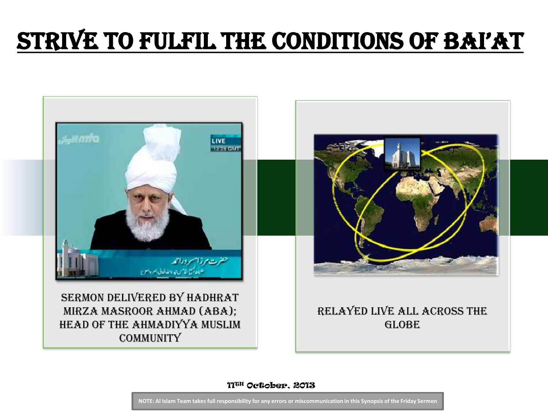# Strive to Fulfil the Conditions of Bai'at



11TH October, 2013

**NOTE: Al Islam Team takes full responsibility for any errors or miscommunication in this Synopsis of the Friday Sermon**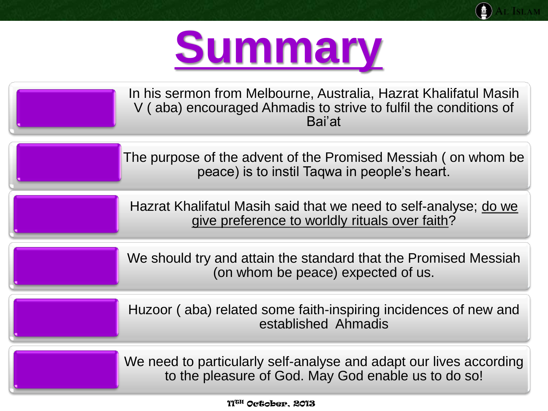

e Tslam

| In his sermon from Melbourne, Australia, Hazrat Khalifatul Masih<br>V (aba) encouraged Ahmadis to strive to fulfil the conditions of<br>Bai'at |
|------------------------------------------------------------------------------------------------------------------------------------------------|
| The purpose of the advent of the Promised Messiah (on whom be<br>peace) is to instil Taqwa in people's heart.                                  |
| Hazrat Khalifatul Masih said that we need to self-analyse; do we<br>give preference to worldly rituals over faith?                             |
| We should try and attain the standard that the Promised Messiah<br>(on whom be peace) expected of us.                                          |
| Huzoor (aba) related some faith-inspiring incidences of new and<br>established Ahmadis                                                         |
| والمعينا وببصره والمعامر والمعرور ومسالمهم والمساري والمتحاسب والمستحدث والال                                                                  |

We need to particularly self-analyse and adapt our lives according to the pleasure of God. May God enable us to do so!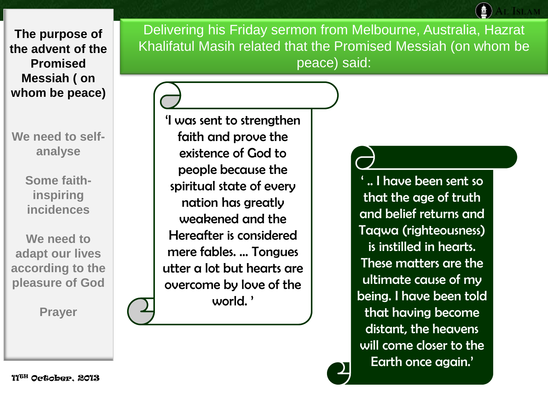**We need to selfanalyse** 

> **Some faithinspiring incidences**

**We need to adapt our lives according to the pleasure of God**

**Prayer**

Delivering his Friday sermon from Melbourne, Australia, Hazrat Khalifatul Masih related that the Promised Messiah (on whom be peace) said:

'I was sent to strengthen faith and prove the existence of God to people because the spiritual state of every nation has greatly weakened and the Hereafter is considered mere fables. ... Tongues utter a lot but hearts are overcome by love of the world. '

' .. I have been sent so that the age of truth and belief returns and Taqwa (righteousness) is instilled in hearts. These matters are the ultimate cause of my being. I have been told that having become distant, the heavens will come closer to the Earth once again.'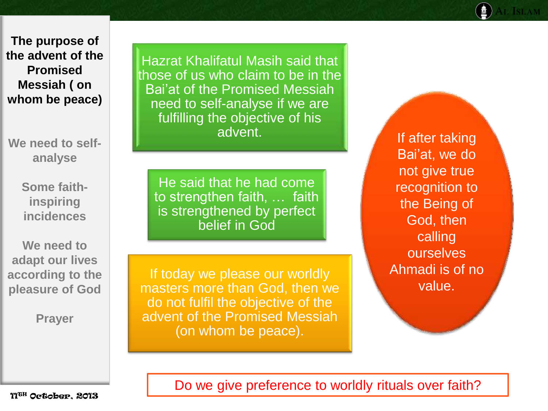**We need to selfanalyse** 

> **Some faithinspiring incidences**

**We need to adapt our lives according to the pleasure of God**

**Prayer**

Hazrat Khalifatul Masih said that those of us who claim to be in the Bai'at of the Promised Messiah need to self-analyse if we are fulfilling the objective of his advent.

He said that he had come to strengthen faith, … faith is strengthened by perfect belief in God

If today we please our worldly masters more than God, then we do not fulfil the objective of the advent of the Promised Messiah (on whom be peace).

If after taking Bai'at, we do not give true recognition to the Being of God, then calling ourselves Ahmadi is of no value.

Do we give preference to worldly rituals over faith?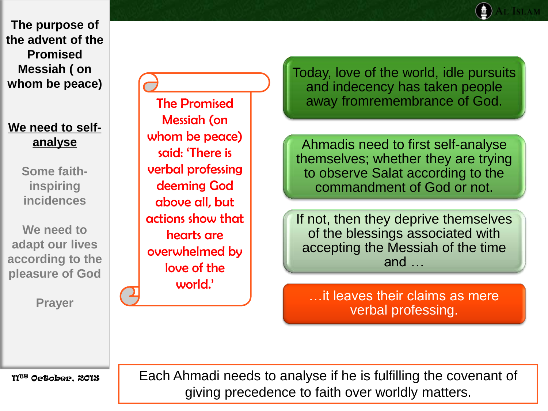# **We need to selfanalyse**

**Some faithinspiring incidences** 

**We need to adapt our lives according to the pleasure of God**

**Prayer**

The Promised Messiah (on whom be peace) said: 'There is verbal professing deeming God above all, but actions show that hearts are overwhelmed by love of the world.'

Today, love of the world, idle pursuits and indecency has taken people away fromremembrance of God.

Ahmadis need to first self-analyse themselves; whether they are trying to observe Salat according to the commandment of God or not.

If not, then they deprive themselves of the blessings associated with accepting the Messiah of the time and …

…it leaves their claims as mere verbal professing.

11TH October, 2013

Each Ahmadi needs to analyse if he is fulfilling the covenant of giving precedence to faith over worldly matters.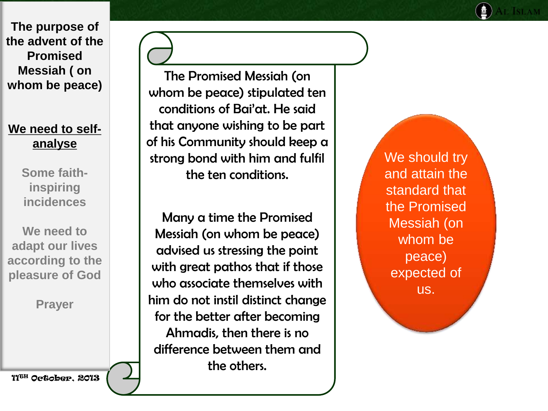## **We need to self analyse**

**Some faith inspiring incidences** 

**We need to adapt our lives according to the pleasure of God**

**Prayer**

11TH October, 2013

The Promised Messiah (on whom be peace) stipulated ten conditions of Bai'at. He said that anyone wishing to be part of his Community should keep a strong bond with him and fulfil the ten conditions.

Many a time the Promised Messiah (on whom be peace) advised us stressing the point with great pathos that if those who associate themselves with him do not instil distinct change for the better after becoming Ahmadis, then there is no difference between them and the others.

We should try and attain the standard that the Promised Messiah (on whom be peace) expected of us.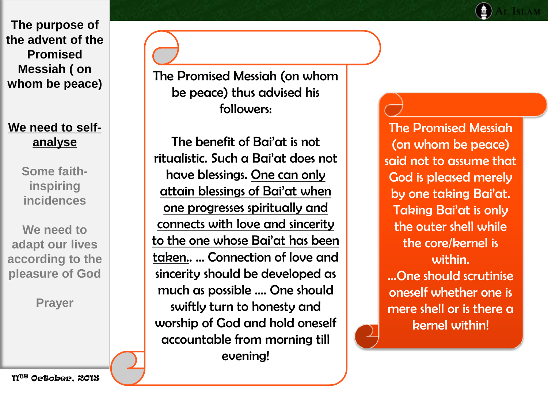**We need to selfanalyse** 

> **Some faithinspiring incidences**

**We need to adapt our lives according to the pleasure of God**

**Prayer**

The Promised Messiah (on whom be peace) thus advised his followers:

The benefit of Bai'at is not ritualistic. Such a Bai'at does not have blessings. One can only attain blessings of Bai'at when one progresses spiritually and connects with love and sincerity to the one whose Bai'at has been taken.. … Connection of love and sincerity should be developed as much as possible …. One should swiftly turn to honesty and worship of God and hold oneself accountable from morning till evening!

The Promised Messiah (on whom be peace) said not to assume that God is pleased merely by one taking Bai'at. Taking Bai'at is only the outer shell while the core/kernel is within. …One should scrutinise oneself whether one is mere shell or is there a kernel within!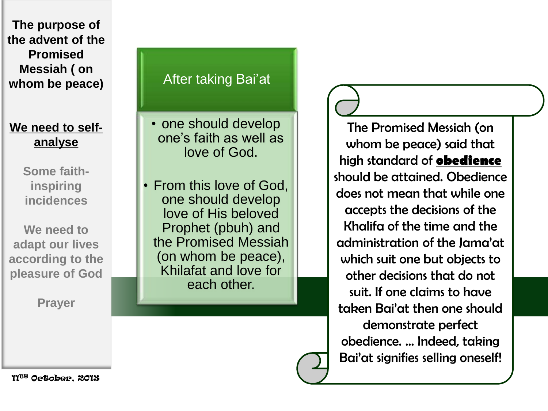# **We need to selfanalyse**

**Some faithinspiring incidences** 

**We need to adapt our lives according to the pleasure of God**

**Prayer**

## After taking Bai'at

• one should develop one's faith as well as love of God.

• From this love of God, one should develop love of His beloved Prophet (pbuh) and the Promised Messiah (on whom be peace), Khilafat and love for each other.

The Promised Messiah (on whom be peace) said that high standard of **obedience** should be attained. Obedience does not mean that while one accepts the decisions of the Khalifa of the time and the administration of the Jama'at which suit one but objects to other decisions that do not suit. If one claims to have taken Bai'at then one should demonstrate perfect obedience. ... Indeed, taking Bai'at signifies selling oneself!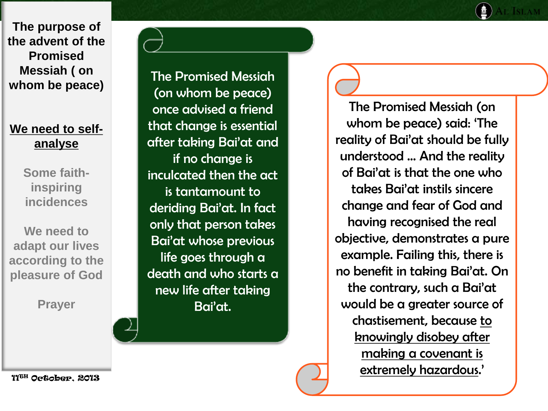# **We need to selfanalyse**

**Some faithinspiring incidences** 

**We need to adapt our lives according to the pleasure of God**

**Prayer**

The Promised Messiah (on whom be peace) once advised a friend that change is essential after taking Bai'at and if no change is inculcated then the act is tantamount to deriding Bai'at. In fact only that person takes Bai'at whose previous life goes through a death and who starts a new life after taking Bai'at.

The Promised Messiah (on whom be peace) said: 'The reality of Bai'at should be fully understood ... And the reality of Bai'at is that the one who takes Bai'at instils sincere change and fear of God and having recognised the real objective, demonstrates a pure example. Failing this, there is no benefit in taking Bai'at. On the contrary, such a Bai'at would be a greater source of chastisement, because to knowingly disobey after making a covenant is extremely hazardous.'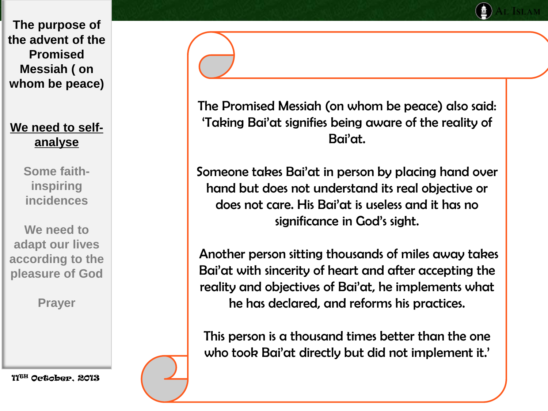## **We need to selfanalyse**

**Some faithinspiring incidences** 

**We need to adapt our lives according to the pleasure of God**

**Prayer**

11TH October, 2013

The Promised Messiah (on whom be peace) also said: 'Taking Bai'at signifies being aware of the reality of Bai'at.

Someone takes Bai'at in person by placing hand over hand but does not understand its real objective or does not care. His Bai'at is useless and it has no significance in God's sight.

Another person sitting thousands of miles away takes Bai'at with sincerity of heart and after accepting the reality and objectives of Bai'at, he implements what he has declared, and reforms his practices.

This person is a thousand times better than the one who took Bai'at directly but did not implement it.'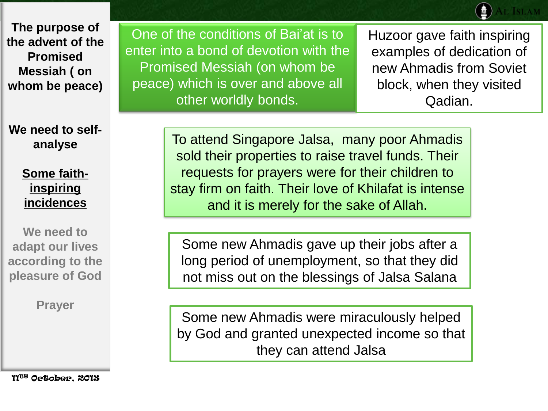**We need to selfanalyse** 

> **Some faithinspiring incidences**

**We need to adapt our lives according to the pleasure of God**

**Prayer**

11TH October, 2013

One of the conditions of Bai'at is to enter into a bond of devotion with the Promised Messiah (on whom be peace) which is over and above all other worldly bonds.

Huzoor gave faith inspiring examples of dedication of new Ahmadis from Soviet block, when they visited Qadian.

To attend Singapore Jalsa, many poor Ahmadis sold their properties to raise travel funds. Their requests for prayers were for their children to stay firm on faith. Their love of Khilafat is intense and it is merely for the sake of Allah.

Some new Ahmadis gave up their jobs after a long period of unemployment, so that they did not miss out on the blessings of Jalsa Salana

Some new Ahmadis were miraculously helped by God and granted unexpected income so that they can attend Jalsa

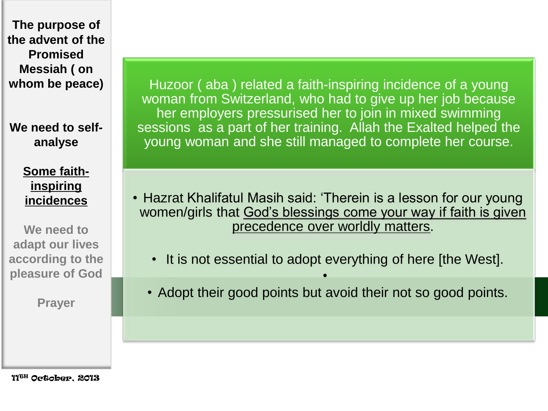**We need to selfanalyse** 

> **Some faithinspiring incidences**

**We need to adapt our lives according to the pleasure of God**

**Prayer**

Huzoor ( aba ) related a faith-inspiring incidence of a young woman from Switzerland, who had to give up her job because her employers pressurised her to join in mixed swimming sessions as a part of her training. Allah the Exalted helped the young woman and she still managed to complete her course.

- Hazrat Khalifatul Masih said: 'Therein is a lesson for our young women/girls that God's blessings come your way if faith is given precedence over worldly matters.
	- It is not essential to adopt everything of here [the West].
	- Adopt their good points but avoid their not so good points.

•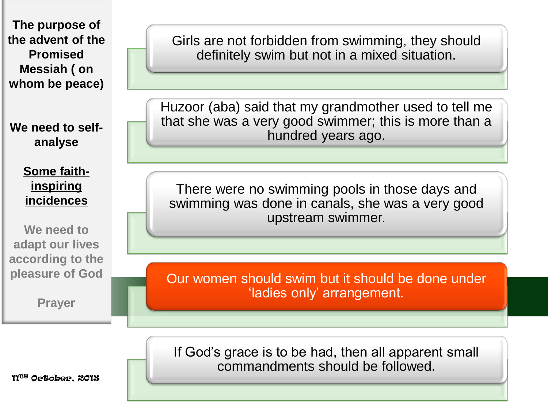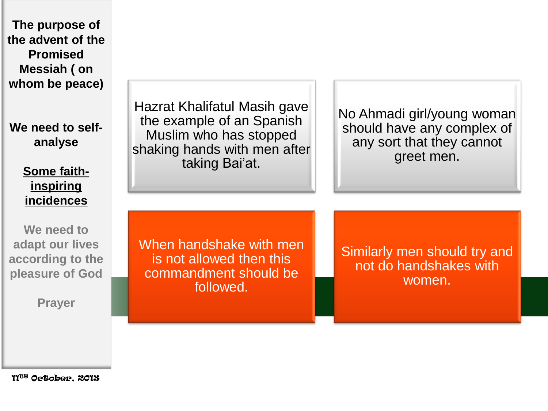Hazrat Khalifatul Masih gave the example of an Spanish Muslim who has stopped shaking hands with men after taking Bai'at. No Ahmadi girl/young woman should have any complex of any sort that they cannot greet men. When handshake with men is not allowed then this commandment should be followed. Similarly men should try and not do handshakes with women. **The purpose of the advent of the Promised Messiah ( on whom be peace) We need to selfanalyse Some faithinspiring incidences We need to adapt our lives according to the pleasure of God Prayer**